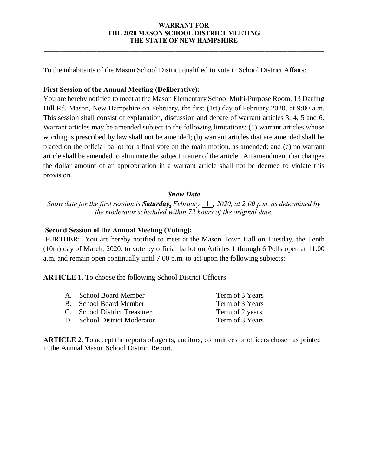### **WARRANT FOR THE 2020 MASON SCHOOL DISTRICT MEETING THE STATE OF NEW HAMPSHIRE**

**\_\_\_\_\_\_\_\_\_\_\_\_\_\_\_\_\_\_\_\_\_\_\_\_\_\_\_\_\_\_\_\_\_\_\_\_\_\_\_\_\_\_\_\_\_\_\_\_\_\_\_\_\_\_\_\_\_\_\_\_\_\_\_\_\_\_\_\_\_\_\_\_\_\_\_\_\_\_\_\_\_\_\_\_\_**

To the inhabitants of the Mason School District qualified to vote in School District Affairs:

## **First Session of the Annual Meeting (Deliberative):**

You are hereby notified to meet at the Mason Elementary School Multi-Purpose Room, 13 Darling Hill Rd, Mason, New Hampshire on February, the first (1st) day of February 2020, at 9:00 a.m. This session shall consist of explanation, discussion and debate of warrant articles 3, 4, 5 and 6. Warrant articles may be amended subject to the following limitations: (1) warrant articles whose wording is prescribed by law shall not be amended; (b) warrant articles that are amended shall be placed on the official ballot for a final vote on the main motion, as amended; and (c) no warrant article shall be amended to eliminate the subject matter of the article. An amendment that changes the dollar amount of an appropriation in a warrant article shall not be deemed to violate this provision.

## *Snow Date*

*Snow date for the first session is Saturday***,** *February* **\_1\_***, 2020, at 2:00 p.m. as determined by the moderator scheduled within 72 hours of the original date.*

# **Second Session of the Annual Meeting (Voting):**

FURTHER: You are hereby notified to meet at the Mason Town Hall on Tuesday, the Tenth (10th) day of March, 2020, to vote by official ballot on Articles 1 through 6 Polls open at 11:00 a.m. and remain open continually until 7:00 p.m. to act upon the following subjects:

**ARTICLE 1.** To choose the following School District Officers:

| A. School Board Member       | Term of 3 Years |
|------------------------------|-----------------|
| B. School Board Member       | Term of 3 Years |
| C. School District Treasurer | Term of 2 years |
| D. School District Moderator | Term of 3 Years |

**ARTICLE 2**. To accept the reports of agents, auditors, committees or officers chosen as printed in the Annual Mason School District Report.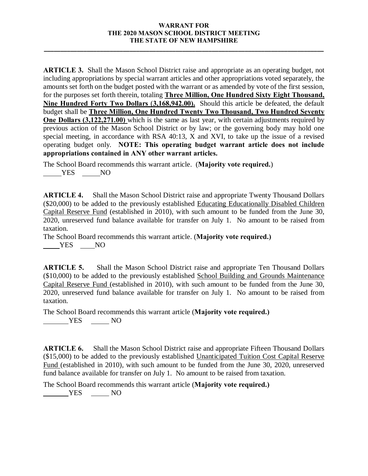### **WARRANT FOR THE 2020 MASON SCHOOL DISTRICT MEETING THE STATE OF NEW HAMPSHIRE**

**\_\_\_\_\_\_\_\_\_\_\_\_\_\_\_\_\_\_\_\_\_\_\_\_\_\_\_\_\_\_\_\_\_\_\_\_\_\_\_\_\_\_\_\_\_\_\_\_\_\_\_\_\_\_\_\_\_\_\_\_\_\_\_\_\_\_\_\_\_\_\_\_\_\_\_\_\_\_\_\_\_\_\_\_\_**

**ARTICLE 3.** Shall the Mason School District raise and appropriate as an operating budget, not including appropriations by special warrant articles and other appropriations voted separately, the amounts set forth on the budget posted with the warrant or as amended by vote of the first session, for the purposes set forth therein, totaling **Three Million, One Hundred Sixty Eight Thousand, Nine Hundred Forty Two Dollars** (**3,168,942.00).** Should this article be defeated, the default budget shall be **Three Million, One Hundred Twenty Two Thousand, Two Hundred Seventy One Dollars (3,122,271.00)** which is the same as last year, with certain adjustments required by previous action of the Mason School District or by law; or the governing body may hold one special meeting, in accordance with RSA 40:13, X and XVI, to take up the issue of a revised operating budget only. **NOTE: This operating budget warrant article does not include appropriations contained in ANY other warrant articles.** 

The School Board recommends this warrant article. (**Majority vote required.**) YES NO

**ARTICLE 4.** Shall the Mason School District raise and appropriate Twenty Thousand Dollars (\$20,000) to be added to the previously established Educating Educationally Disabled Children Capital Reserve Fund (established in 2010), with such amount to be funded from the June 30, 2020, unreserved fund balance available for transfer on July 1. No amount to be raised from taxation.

The School Board recommends this warrant article. (**Majority vote required.)** YES NO

**ARTICLE 5.** Shall the Mason School District raise and appropriate Ten Thousand Dollars (\$10,000) to be added to the previously established School Building and Grounds Maintenance Capital Reserve Fund (established in 2010), with such amount to be funded from the June 30, 2020, unreserved fund balance available for transfer on July 1. No amount to be raised from taxation.

The School Board recommends this warrant article (**Majority vote required.) THES** NO

**ARTICLE 6.** Shall the Mason School District raise and appropriate Fifteen Thousand Dollars (\$15,000) to be added to the previously established Unanticipated Tuition Cost Capital Reserve Fund (established in 2010), with such amount to be funded from the June 30, 2020, unreserved fund balance available for transfer on July 1. No amount to be raised from taxation.

The School Board recommends this warrant article (**Majority vote required.)** YES NO